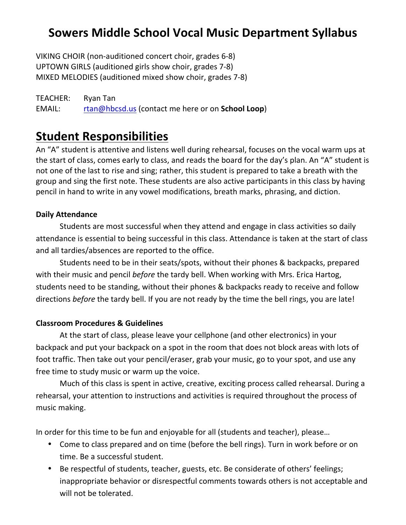## **Sowers Middle School Vocal Music Department Syllabus**

VIKING CHOIR (non-auditioned concert choir, grades 6-8) UPTOWN GIRLS (auditioned girls show choir, grades 7-8) MIXED MELODIES (auditioned mixed show choir, grades 7-8)

TEACHER: Ryan Tan EMAIL: rtan@hbcsd.us (contact me here or on **School Loop**)

### **Student Responsibilities**

An "A" student is attentive and listens well during rehearsal, focuses on the vocal warm ups at the start of class, comes early to class, and reads the board for the day's plan. An "A" student is not one of the last to rise and sing; rather, this student is prepared to take a breath with the group and sing the first note. These students are also active participants in this class by having pencil in hand to write in any vowel modifications, breath marks, phrasing, and diction.

#### **Daily Attendance**

Students are most successful when they attend and engage in class activities so daily attendance is essential to being successful in this class. Attendance is taken at the start of class and all tardies/absences are reported to the office.

Students need to be in their seats/spots, without their phones & backpacks, prepared with their music and pencil *before* the tardy bell. When working with Mrs. Erica Hartog, students need to be standing, without their phones & backpacks ready to receive and follow directions *before* the tardy bell. If you are not ready by the time the bell rings, you are late!

#### **Classroom Procedures & Guidelines**

At the start of class, please leave your cellphone (and other electronics) in your backpack and put your backpack on a spot in the room that does not block areas with lots of foot traffic. Then take out your pencil/eraser, grab your music, go to your spot, and use any free time to study music or warm up the voice.

Much of this class is spent in active, creative, exciting process called rehearsal. During a rehearsal, your attention to instructions and activities is required throughout the process of music making.

In order for this time to be fun and enjoyable for all (students and teacher), please...

- Come to class prepared and on time (before the bell rings). Turn in work before or on time. Be a successful student.
- Be respectful of students, teacher, guests, etc. Be considerate of others' feelings; inappropriate behavior or disrespectful comments towards others is not acceptable and will not be tolerated.